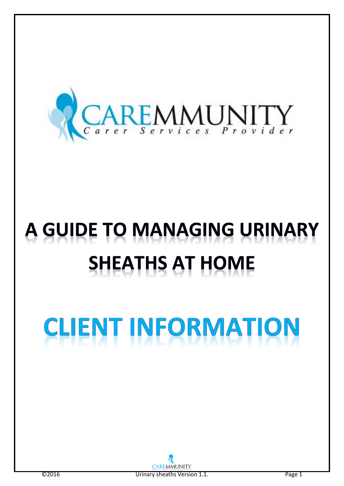

# A GUIDE TO MANAGING URINARY **SHEATHS AT HOME**

## **IENT INFORMATION CLI**

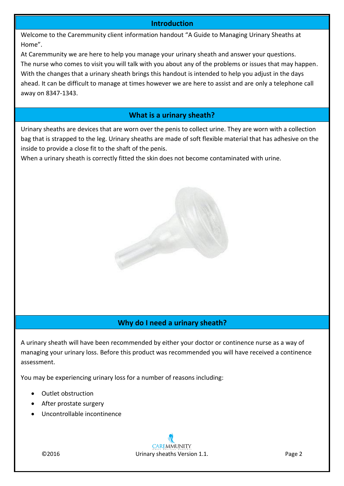#### **Introduction**

Welcome to the Caremmunity client information handout "A Guide to Managing Urinary Sheaths at Home".

At Caremmunity we are here to help you manage your urinary sheath and answer your questions. The nurse who comes to visit you will talk with you about any of the problems or issues that may happen. With the changes that a urinary sheath brings this handout is intended to help you adjust in the days ahead. It can be difficult to manage at times however we are here to assist and are only a telephone call away on 8347-1343.

#### **What is a urinary sheath?**

Urinary sheaths are devices that are worn over the penis to collect urine. They are worn with a collection bag that is strapped to the leg. Urinary sheaths are made of soft flexible material that has adhesive on the inside to provide a close fit to the shaft of the penis.

When a urinary sheath is correctly fitted the skin does not become contaminated with urine.



#### **Why do I need a urinary sheath?**

A urinary sheath will have been recommended by either your doctor or continence nurse as a way of managing your urinary loss. Before this product was recommended you will have received a continence assessment.

You may be experiencing urinary loss for a number of reasons including:

- Outlet obstruction
- After prostate surgery
- Uncontrollable incontinence

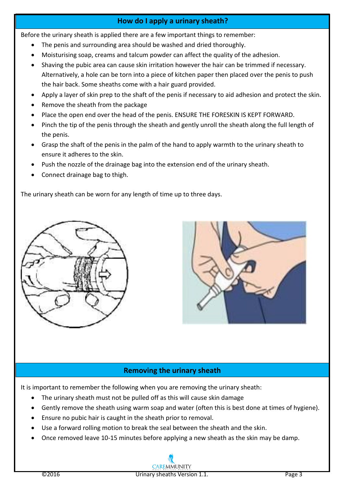#### **How do I apply a urinary sheath?**

Before the urinary sheath is applied there are a few important things to remember:

- The penis and surrounding area should be washed and dried thoroughly.
- Moisturising soap, creams and talcum powder can affect the quality of the adhesion.
- Shaving the pubic area can cause skin irritation however the hair can be trimmed if necessary. Alternatively, a hole can be torn into a piece of kitchen paper then placed over the penis to push the hair back. Some sheaths come with a hair guard provided.
- Apply a layer of skin prep to the shaft of the penis if necessary to aid adhesion and protect the skin.
- Remove the sheath from the package
- Place the open end over the head of the penis. ENSURE THE FORESKIN IS KEPT FORWARD.
- Pinch the tip of the penis through the sheath and gently unroll the sheath along the full length of the penis.
- Grasp the shaft of the penis in the palm of the hand to apply warmth to the urinary sheath to ensure it adheres to the skin.
- Push the nozzle of the drainage bag into the extension end of the urinary sheath.
- Connect drainage bag to thigh.

The urinary sheath can be worn for any length of time up to three days.





### **Removing the urinary sheath**

It is important to remember the following when you are removing the urinary sheath:

- The urinary sheath must not be pulled off as this will cause skin damage
- Gently remove the sheath using warm soap and water (often this is best done at times of hygiene).
- **Ensure no pubic hair is caught in the sheath prior to removal.**
- Use a forward rolling motion to break the seal between the sheath and the skin.
- Once removed leave 10-15 minutes before applying a new sheath as the skin may be damp.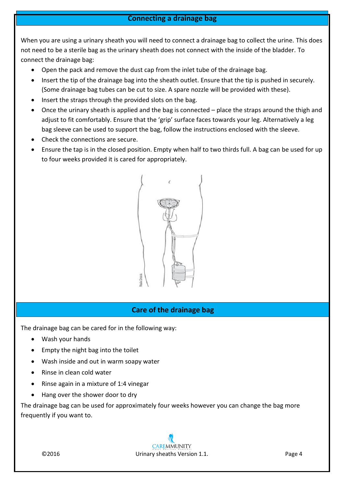#### **Connecting a drainage bag**

When you are using a urinary sheath you will need to connect a drainage bag to collect the urine. This does not need to be a sterile bag as the urinary sheath does not connect with the inside of the bladder. To connect the drainage bag:

- Open the pack and remove the dust cap from the inlet tube of the drainage bag.
- Insert the tip of the drainage bag into the sheath outlet. Ensure that the tip is pushed in securely. (Some drainage bag tubes can be cut to size. A spare nozzle will be provided with these).
- Insert the straps through the provided slots on the bag.
- Once the urinary sheath is applied and the bag is connected place the straps around the thigh and adjust to fit comfortably. Ensure that the 'grip' surface faces towards your leg. Alternatively a leg bag sleeve can be used to support the bag, follow the instructions enclosed with the sleeve.
- Check the connections are secure.
- Ensure the tap is in the closed position. Empty when half to two thirds full. A bag can be used for up to four weeks provided it is cared for appropriately.



#### **Care of the drainage bag**

The drainage bag can be cared for in the following way:

- Wash your hands
- Empty the night bag into the toilet
- Wash inside and out in warm soapy water
- Rinse in clean cold water
- $\bullet$  Rinse again in a mixture of 1:4 vinegar
- Hang over the shower door to dry

The drainage bag can be used for approximately four weeks however you can change the bag more frequently if you want to.

**CAREMMUNITY** ©2016 Urinary sheaths Version 1.1. Page 4